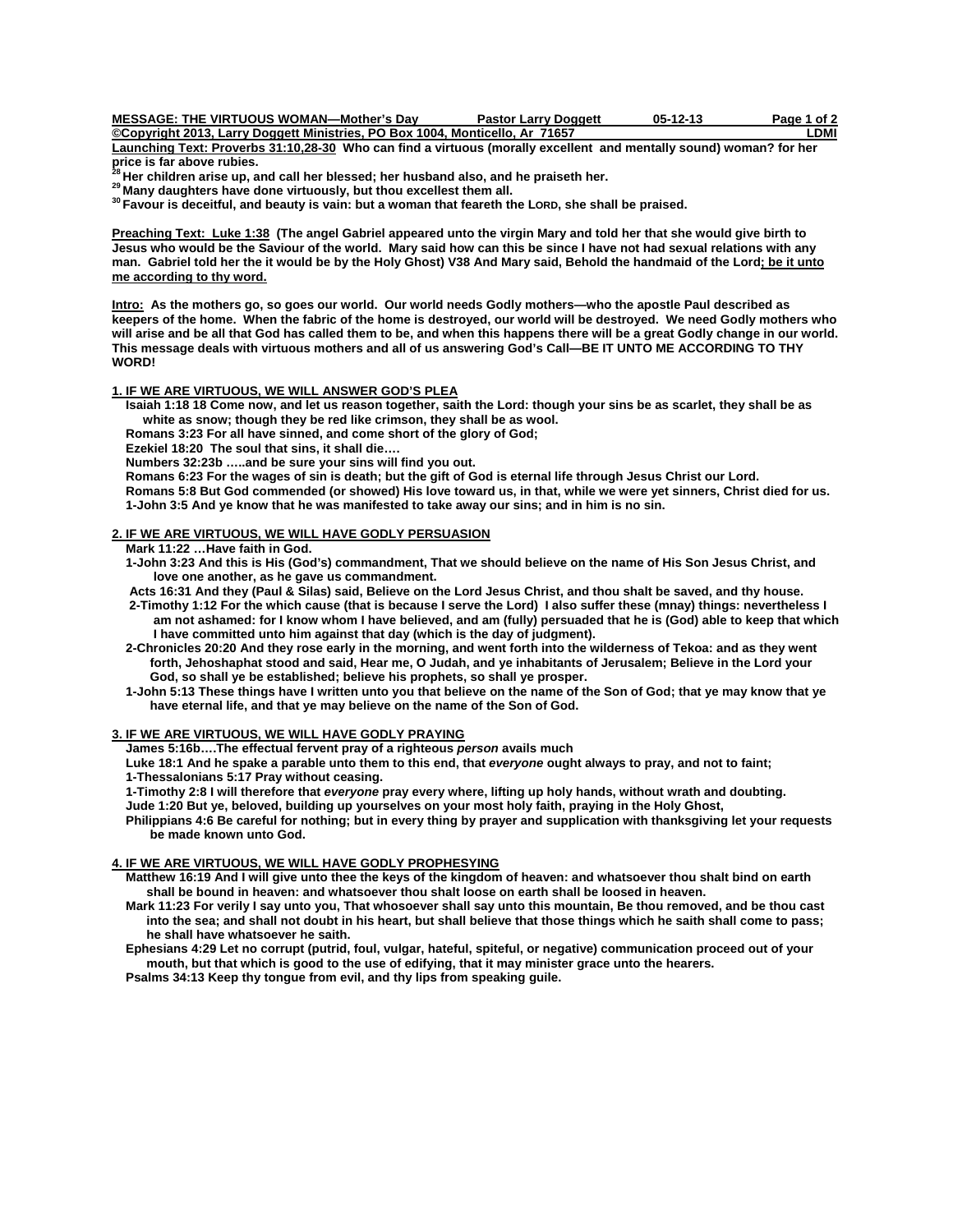| <b>MESSAGE: THE VIRTUOUS WOMAN—Mother's Dav</b>                              | <b>Pastor Larry Doggett</b> | $05-12-13$ | Page 1 of 2 |
|------------------------------------------------------------------------------|-----------------------------|------------|-------------|
| ©Copyright 2013, Larry Doggett Ministries, PO Box 1004, Monticello, Ar 71657 |                             |            | .DMI        |

**Launching Text: Proverbs 31:10,28-30 Who can find a virtuous (morally excellent and mentally sound) woman? for her price is far above rubies.** 

<sup>28</sup> Her children arise up, and call her blessed; her husband also, and he praiseth her.<br><sup>29</sup> Many daughters have done virtuously, but thou excellest them all.<br><sup>30</sup> Favour is deceitful, and beauty is vain: but a woman that

**Preaching Text: Luke 1:38 (The angel Gabriel appeared unto the virgin Mary and told her that she would give birth to Jesus who would be the Saviour of the world. Mary said how can this be since I have not had sexual relations with any man. Gabriel told her the it would be by the Holy Ghost) V38 And Mary said, Behold the handmaid of the Lord; be it unto me according to thy word.** 

**Intro: As the mothers go, so goes our world. Our world needs Godly mothers—who the apostle Paul described as keepers of the home. When the fabric of the home is destroyed, our world will be destroyed. We need Godly mothers who will arise and be all that God has called them to be, and when this happens there will be a great Godly change in our world. This message deals with virtuous mothers and all of us answering God's Call—BE IT UNTO ME ACCORDING TO THY WORD!** 

# **1. IF WE ARE VIRTUOUS, WE WILL ANSWER GOD'S PLEA**

 **Isaiah 1:18 18 Come now, and let us reason together, saith the Lord: though your sins be as scarlet, they shall be as white as snow; though they be red like crimson, they shall be as wool.** 

 **Romans 3:23 For all have sinned, and come short of the glory of God;** 

 **Ezekiel 18:20 The soul that sins, it shall die….** 

 **Numbers 32:23b …..and be sure your sins will find you out.** 

 **Romans 6:23 For the wages of sin is death; but the gift of God is eternal life through Jesus Christ our Lord.** 

 **Romans 5:8 But God commended (or showed) His love toward us, in that, while we were yet sinners, Christ died for us. 1-John 3:5 And ye know that he was manifested to take away our sins; and in him is no sin.** 

#### **2. IF WE ARE VIRTUOUS, WE WILL HAVE GODLY PERSUASION**

 **Mark 11:22 …Have faith in God.** 

 **1-John 3:23 And this is His (God's) commandment, That we should believe on the name of His Son Jesus Christ, and love one another, as he gave us commandment.** 

 **Acts 16:31 And they (Paul & Silas) said, Believe on the Lord Jesus Christ, and thou shalt be saved, and thy house.** 

 **2-Timothy 1:12 For the which cause (that is because I serve the Lord) I also suffer these (mnay) things: nevertheless I am not ashamed: for I know whom I have believed, and am (fully) persuaded that he is (God) able to keep that which I have committed unto him against that day (which is the day of judgment).** 

 **2-Chronicles 20:20 And they rose early in the morning, and went forth into the wilderness of Tekoa: and as they went forth, Jehoshaphat stood and said, Hear me, O Judah, and ye inhabitants of Jerusalem; Believe in the Lord your God, so shall ye be established; believe his prophets, so shall ye prosper.** 

 **1-John 5:13 These things have I written unto you that believe on the name of the Son of God; that ye may know that ye have eternal life, and that ye may believe on the name of the Son of God.** 

#### **3. IF WE ARE VIRTUOUS, WE WILL HAVE GODLY PRAYING**

 **James 5:16b….The effectual fervent pray of a righteous** *person* **avails much** 

 **Luke 18:1 And he spake a parable unto them to this end, that** *everyone* **ought always to pray, and not to faint;** 

 **1-Thessalonians 5:17 Pray without ceasing.** 

 **1-Timothy 2:8 I will therefore that** *everyone* **pray every where, lifting up holy hands, without wrath and doubting.** 

 **Jude 1:20 But ye, beloved, building up yourselves on your most holy faith, praying in the Holy Ghost,** 

 **Philippians 4:6 Be careful for nothing; but in every thing by prayer and supplication with thanksgiving let your requests be made known unto God.** 

## **4. IF WE ARE VIRTUOUS, WE WILL HAVE GODLY PROPHESYING**

 **Matthew 16:19 And I will give unto thee the keys of the kingdom of heaven: and whatsoever thou shalt bind on earth shall be bound in heaven: and whatsoever thou shalt loose on earth shall be loosed in heaven.** 

 **Mark 11:23 For verily I say unto you, That whosoever shall say unto this mountain, Be thou removed, and be thou cast into the sea; and shall not doubt in his heart, but shall believe that those things which he saith shall come to pass; he shall have whatsoever he saith.** 

 **Ephesians 4:29 Let no corrupt (putrid, foul, vulgar, hateful, spiteful, or negative) communication proceed out of your mouth, but that which is good to the use of edifying, that it may minister grace unto the hearers.** 

 **Psalms 34:13 Keep thy tongue from evil, and thy lips from speaking guile.**